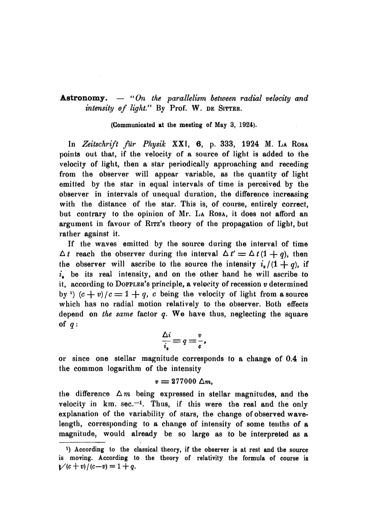**Astronomy.**  $-$  "On the parallelism between radial velocity and *intensity of light.*" By Prof. W. DE SITTER.

(Communicated at the meetins of May 3, 1924).

In *Zeitschrift fur Physik* XXI, **6,** p. 333, 1924 M. LA RosA points out that, if the velocity of a source of light is added to the velocity of light, then a star periodically approaching and receding from the observer will appear variable, as the quantity of light emitted by the star in equal intervals of time is perceived by the observer in intervals of unequal duration, the difference increasing with the distance of the star. This is, of course, entirely correct, but contrary to the opinion of Mr. La Rosa, it does not afford an argument in favour of RITZ's theory of the propagation of light, but rather against it.

If the waves emitted by the source during the interval of time  $\Delta t$  reach the observer during the interval  $\Delta t' = \Delta t (1 + q)$ , then the observer will ascribe to the source the intensity  $i_o/(1 + q)$ , if  $i<sub>n</sub>$  be its real intensity, and on the other hand he will ascribe to it, according to DoPPLER's principle, a velocity of recession *v* determined by <sup>1</sup>)  $(c + v)/c = 1 + q$ , c being the velocity of light from a source which has no radial motion relatively to the observer. Both effects depend on *the same* factor *q.* We have thus, neglecting the square of  $q$ :

$$
\frac{\Delta i}{i_{\bullet}}=q=\frac{v}{c},
$$

or since one stellar magnitude corresponds to a change of 0.4 in the common logarithm of the intensity

$$
v=277000\;\Delta m,
$$

the difference  $\Delta m$  being expressed in stellar magnitudes, and the velocity in  $km.$  sec. $-1$ . Thus, if this were the real and the only explanation of the variability of stars, the change of observed wavelength, corresponding to a change of intensity of some teuths of a magnitude, would already be so large as to be interpreted as a

<sup>1)</sup> According to the classical theory, if the observer is at rest and the source is moving. According to the theory of relativity the formula of course is  $V(c + v)/(c-v) = 1 + q.$